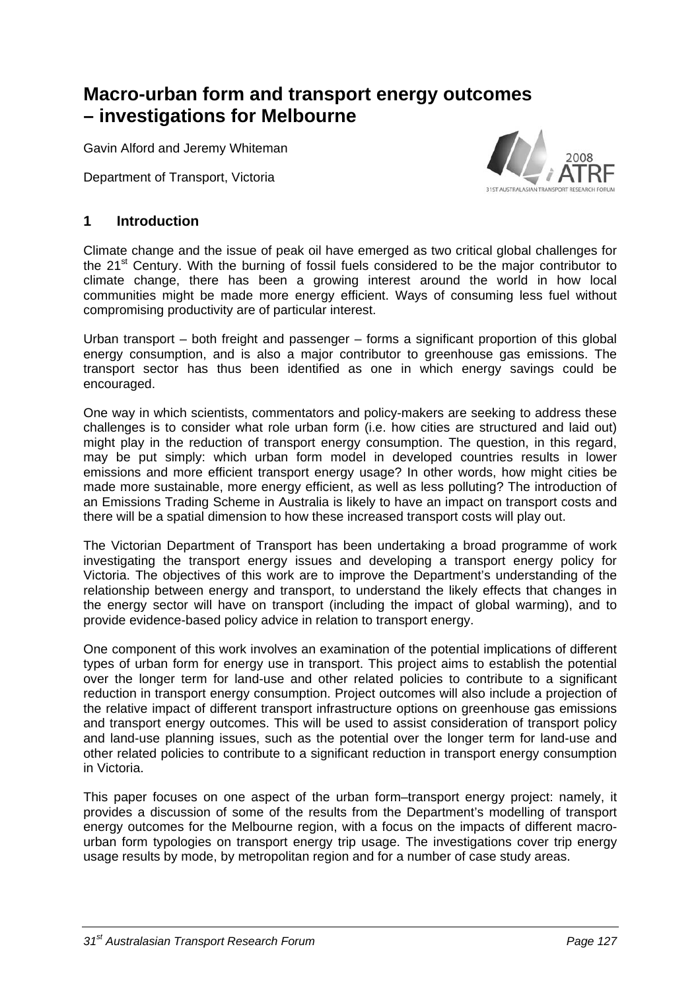# **Macro-urban form and transport energy outcomes – investigations for Melbourne**

Gavin Alford and Jeremy Whiteman

Department of Transport, Victoria



## **1 Introduction**

Climate change and the issue of peak oil have emerged as two critical global challenges for the 21<sup>st</sup> Century. With the burning of fossil fuels considered to be the major contributor to climate change, there has been a growing interest around the world in how local communities might be made more energy efficient. Ways of consuming less fuel without compromising productivity are of particular interest.

Urban transport – both freight and passenger – forms a significant proportion of this global energy consumption, and is also a major contributor to greenhouse gas emissions. The transport sector has thus been identified as one in which energy savings could be encouraged.

One way in which scientists, commentators and policy-makers are seeking to address these challenges is to consider what role urban form (i.e. how cities are structured and laid out) might play in the reduction of transport energy consumption. The question, in this regard, may be put simply: which urban form model in developed countries results in lower emissions and more efficient transport energy usage? In other words, how might cities be made more sustainable, more energy efficient, as well as less polluting? The introduction of an Emissions Trading Scheme in Australia is likely to have an impact on transport costs and there will be a spatial dimension to how these increased transport costs will play out.

The Victorian Department of Transport has been undertaking a broad programme of work investigating the transport energy issues and developing a transport energy policy for Victoria. The objectives of this work are to improve the Department's understanding of the relationship between energy and transport, to understand the likely effects that changes in the energy sector will have on transport (including the impact of global warming), and to provide evidence-based policy advice in relation to transport energy.

One component of this work involves an examination of the potential implications of different types of urban form for energy use in transport. This project aims to establish the potential over the longer term for land-use and other related policies to contribute to a significant reduction in transport energy consumption. Project outcomes will also include a projection of the relative impact of different transport infrastructure options on greenhouse gas emissions and transport energy outcomes. This will be used to assist consideration of transport policy and land-use planning issues, such as the potential over the longer term for land-use and other related policies to contribute to a significant reduction in transport energy consumption in Victoria.

This paper focuses on one aspect of the urban form–transport energy project: namely, it provides a discussion of some of the results from the Department's modelling of transport energy outcomes for the Melbourne region, with a focus on the impacts of different macrourban form typologies on transport energy trip usage. The investigations cover trip energy usage results by mode, by metropolitan region and for a number of case study areas.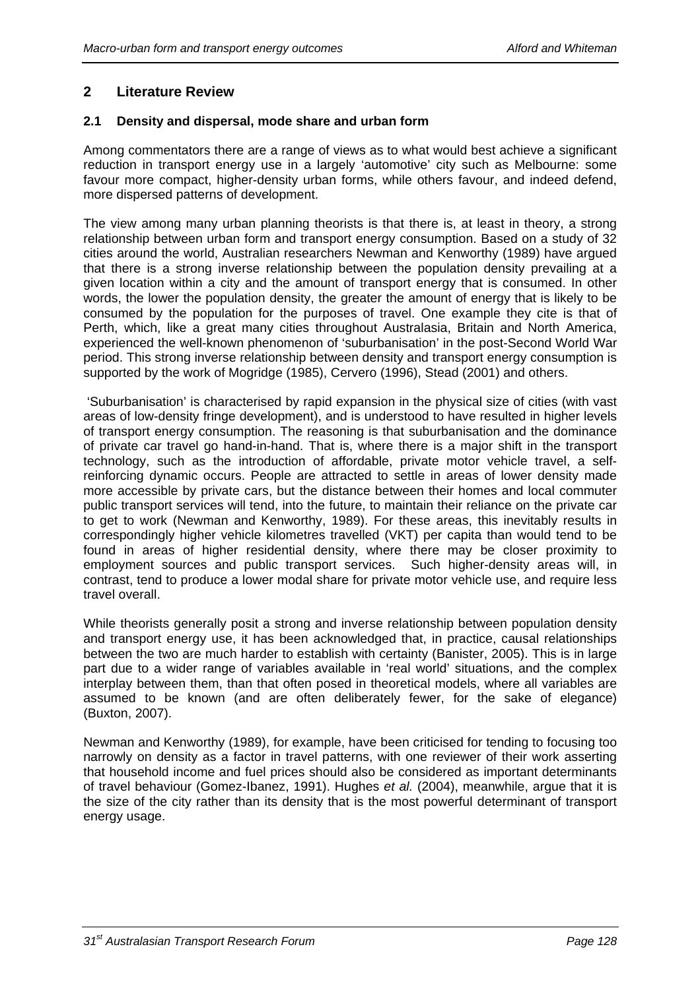# **2 Literature Review**

## **2.1 Density and dispersal, mode share and urban form**

Among commentators there are a range of views as to what would best achieve a significant reduction in transport energy use in a largely 'automotive' city such as Melbourne: some favour more compact, higher-density urban forms, while others favour, and indeed defend, more dispersed patterns of development.

The view among many urban planning theorists is that there is, at least in theory, a strong relationship between urban form and transport energy consumption. Based on a study of 32 cities around the world, Australian researchers Newman and Kenworthy (1989) have argued that there is a strong inverse relationship between the population density prevailing at a given location within a city and the amount of transport energy that is consumed. In other words, the lower the population density, the greater the amount of energy that is likely to be consumed by the population for the purposes of travel. One example they cite is that of Perth, which, like a great many cities throughout Australasia, Britain and North America, experienced the well-known phenomenon of 'suburbanisation' in the post-Second World War period. This strong inverse relationship between density and transport energy consumption is supported by the work of Mogridge (1985), Cervero (1996), Stead (2001) and others.

 'Suburbanisation' is characterised by rapid expansion in the physical size of cities (with vast areas of low-density fringe development), and is understood to have resulted in higher levels of transport energy consumption. The reasoning is that suburbanisation and the dominance of private car travel go hand-in-hand. That is, where there is a major shift in the transport technology, such as the introduction of affordable, private motor vehicle travel, a selfreinforcing dynamic occurs. People are attracted to settle in areas of lower density made more accessible by private cars, but the distance between their homes and local commuter public transport services will tend, into the future, to maintain their reliance on the private car to get to work (Newman and Kenworthy, 1989). For these areas, this inevitably results in correspondingly higher vehicle kilometres travelled (VKT) per capita than would tend to be found in areas of higher residential density, where there may be closer proximity to employment sources and public transport services. Such higher-density areas will, in contrast, tend to produce a lower modal share for private motor vehicle use, and require less travel overall.

While theorists generally posit a strong and inverse relationship between population density and transport energy use, it has been acknowledged that, in practice, causal relationships between the two are much harder to establish with certainty (Banister, 2005). This is in large part due to a wider range of variables available in 'real world' situations, and the complex interplay between them, than that often posed in theoretical models, where all variables are assumed to be known (and are often deliberately fewer, for the sake of elegance) (Buxton, 2007).

Newman and Kenworthy (1989), for example, have been criticised for tending to focusing too narrowly on density as a factor in travel patterns, with one reviewer of their work asserting that household income and fuel prices should also be considered as important determinants of travel behaviour (Gomez-Ibanez, 1991). Hughes *et al.* (2004), meanwhile, argue that it is the size of the city rather than its density that is the most powerful determinant of transport energy usage.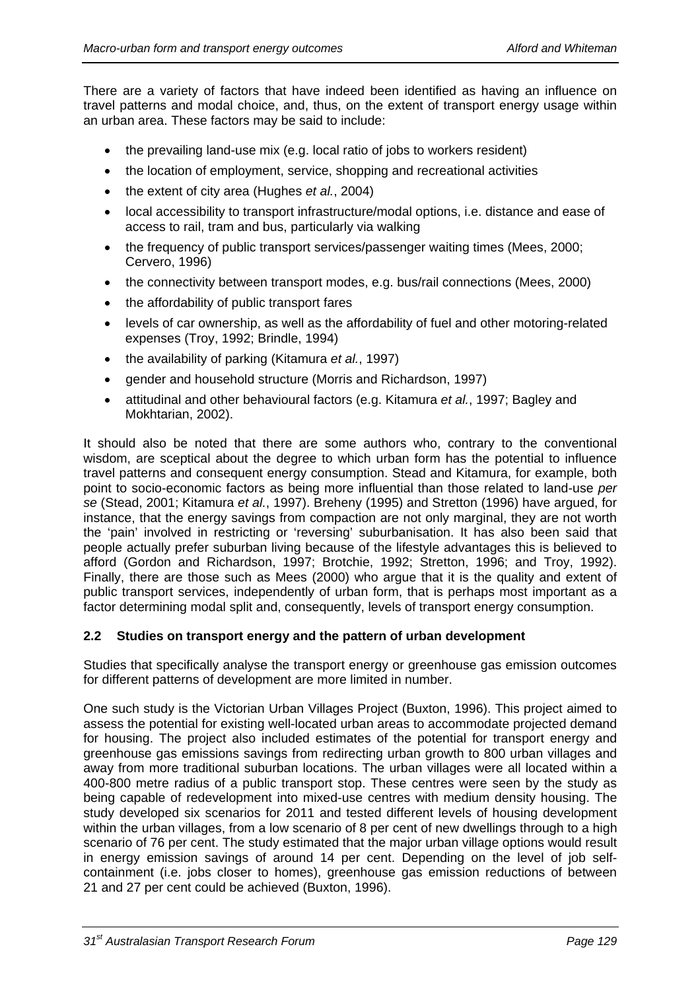There are a variety of factors that have indeed been identified as having an influence on travel patterns and modal choice, and, thus, on the extent of transport energy usage within an urban area. These factors may be said to include:

- the prevailing land-use mix (e.g. local ratio of jobs to workers resident)
- the location of employment, service, shopping and recreational activities
- the extent of city area (Hughes *et al.*, 2004)
- local accessibility to transport infrastructure/modal options, i.e. distance and ease of access to rail, tram and bus, particularly via walking
- the frequency of public transport services/passenger waiting times (Mees, 2000; Cervero, 1996)
- the connectivity between transport modes, e.g. bus/rail connections (Mees, 2000)
- the affordability of public transport fares
- levels of car ownership, as well as the affordability of fuel and other motoring-related expenses (Troy, 1992; Brindle, 1994)
- the availability of parking (Kitamura *et al.*, 1997)
- gender and household structure (Morris and Richardson, 1997)
- attitudinal and other behavioural factors (e.g. Kitamura *et al.*, 1997; Bagley and Mokhtarian, 2002).

It should also be noted that there are some authors who, contrary to the conventional wisdom, are sceptical about the degree to which urban form has the potential to influence travel patterns and consequent energy consumption. Stead and Kitamura, for example, both point to socio-economic factors as being more influential than those related to land-use *per se* (Stead, 2001; Kitamura *et al.*, 1997). Breheny (1995) and Stretton (1996) have argued, for instance, that the energy savings from compaction are not only marginal, they are not worth the 'pain' involved in restricting or 'reversing' suburbanisation. It has also been said that people actually prefer suburban living because of the lifestyle advantages this is believed to afford (Gordon and Richardson, 1997; Brotchie, 1992; Stretton, 1996; and Troy, 1992). Finally, there are those such as Mees (2000) who argue that it is the quality and extent of public transport services, independently of urban form, that is perhaps most important as a factor determining modal split and, consequently, levels of transport energy consumption.

## **2.2 Studies on transport energy and the pattern of urban development**

Studies that specifically analyse the transport energy or greenhouse gas emission outcomes for different patterns of development are more limited in number.

One such study is the Victorian Urban Villages Project (Buxton, 1996). This project aimed to assess the potential for existing well-located urban areas to accommodate projected demand for housing. The project also included estimates of the potential for transport energy and greenhouse gas emissions savings from redirecting urban growth to 800 urban villages and away from more traditional suburban locations. The urban villages were all located within a 400-800 metre radius of a public transport stop. These centres were seen by the study as being capable of redevelopment into mixed-use centres with medium density housing. The study developed six scenarios for 2011 and tested different levels of housing development within the urban villages, from a low scenario of 8 per cent of new dwellings through to a high scenario of 76 per cent. The study estimated that the major urban village options would result in energy emission savings of around 14 per cent. Depending on the level of job selfcontainment (i.e. jobs closer to homes), greenhouse gas emission reductions of between 21 and 27 per cent could be achieved (Buxton, 1996).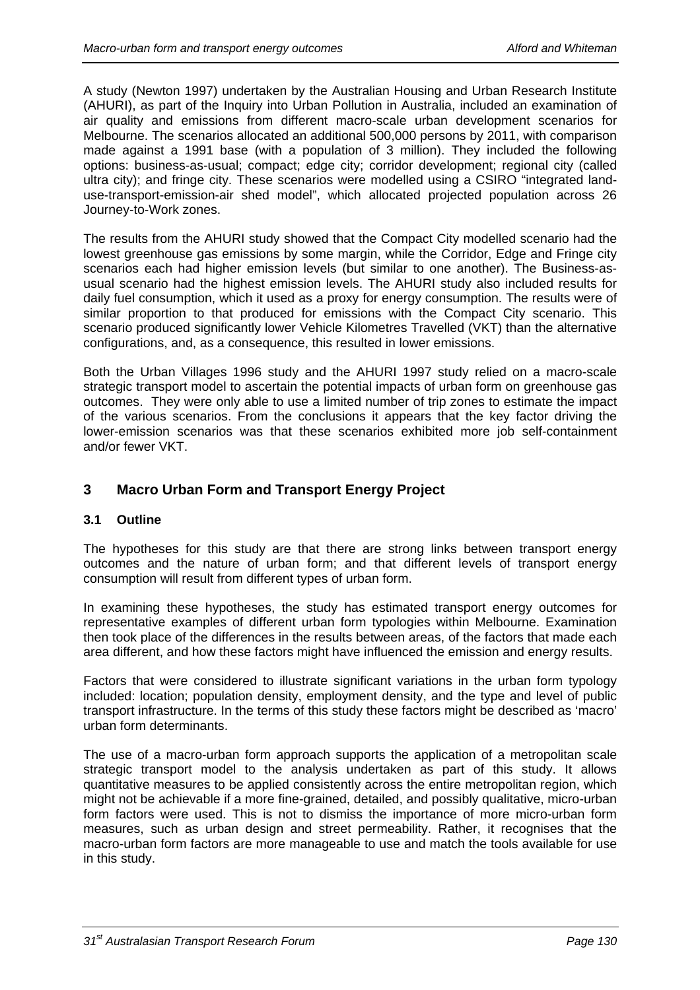A study (Newton 1997) undertaken by the Australian Housing and Urban Research Institute (AHURI), as part of the Inquiry into Urban Pollution in Australia, included an examination of air quality and emissions from different macro-scale urban development scenarios for Melbourne. The scenarios allocated an additional 500,000 persons by 2011, with comparison made against a 1991 base (with a population of 3 million). They included the following options: business-as-usual; compact; edge city; corridor development; regional city (called ultra city); and fringe city. These scenarios were modelled using a CSIRO "integrated landuse-transport-emission-air shed model", which allocated projected population across 26 Journey-to-Work zones.

The results from the AHURI study showed that the Compact City modelled scenario had the lowest greenhouse gas emissions by some margin, while the Corridor, Edge and Fringe city scenarios each had higher emission levels (but similar to one another). The Business-asusual scenario had the highest emission levels. The AHURI study also included results for daily fuel consumption, which it used as a proxy for energy consumption. The results were of similar proportion to that produced for emissions with the Compact City scenario. This scenario produced significantly lower Vehicle Kilometres Travelled (VKT) than the alternative configurations, and, as a consequence, this resulted in lower emissions.

Both the Urban Villages 1996 study and the AHURI 1997 study relied on a macro-scale strategic transport model to ascertain the potential impacts of urban form on greenhouse gas outcomes. They were only able to use a limited number of trip zones to estimate the impact of the various scenarios. From the conclusions it appears that the key factor driving the lower-emission scenarios was that these scenarios exhibited more job self-containment and/or fewer VKT.

# **3 Macro Urban Form and Transport Energy Project**

## **3.1 Outline**

The hypotheses for this study are that there are strong links between transport energy outcomes and the nature of urban form; and that different levels of transport energy consumption will result from different types of urban form.

In examining these hypotheses, the study has estimated transport energy outcomes for representative examples of different urban form typologies within Melbourne. Examination then took place of the differences in the results between areas, of the factors that made each area different, and how these factors might have influenced the emission and energy results.

Factors that were considered to illustrate significant variations in the urban form typology included: location; population density, employment density, and the type and level of public transport infrastructure. In the terms of this study these factors might be described as 'macro' urban form determinants.

The use of a macro-urban form approach supports the application of a metropolitan scale strategic transport model to the analysis undertaken as part of this study. It allows quantitative measures to be applied consistently across the entire metropolitan region, which might not be achievable if a more fine-grained, detailed, and possibly qualitative, micro-urban form factors were used. This is not to dismiss the importance of more micro-urban form measures, such as urban design and street permeability. Rather, it recognises that the macro-urban form factors are more manageable to use and match the tools available for use in this study.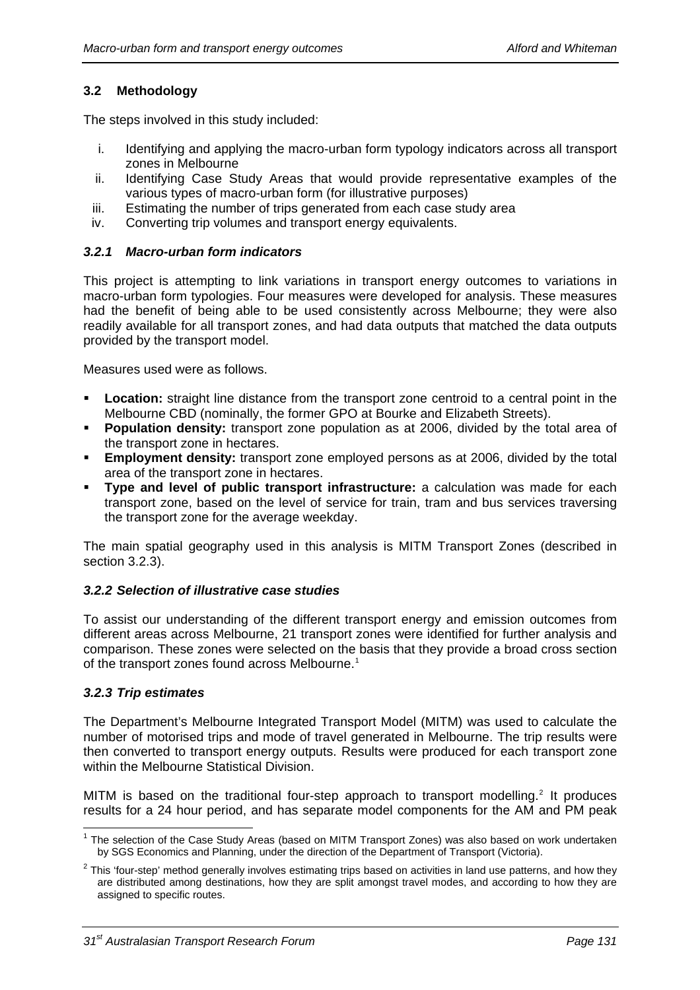## **3.2 Methodology**

The steps involved in this study included:

- i. Identifying and applying the macro-urban form typology indicators across all transport zones in Melbourne
- ii. Identifying Case Study Areas that would provide representative examples of the various types of macro-urban form (for illustrative purposes)
- iii. Estimating the number of trips generated from each case study area
- iv. Converting trip volumes and transport energy equivalents.

## *3.2.1 Macro-urban form indicators*

This project is attempting to link variations in transport energy outcomes to variations in macro-urban form typologies. Four measures were developed for analysis. These measures had the benefit of being able to be used consistently across Melbourne; they were also readily available for all transport zones, and had data outputs that matched the data outputs provided by the transport model.

Measures used were as follows.

- **Location:** straight line distance from the transport zone centroid to a central point in the Melbourne CBD (nominally, the former GPO at Bourke and Elizabeth Streets).
- **Population density:** transport zone population as at 2006, divided by the total area of the transport zone in hectares.
- **Employment density:** transport zone employed persons as at 2006, divided by the total area of the transport zone in hectares.
- **Type and level of public transport infrastructure:** a calculation was made for each transport zone, based on the level of service for train, tram and bus services traversing the transport zone for the average weekday.

The main spatial geography used in this analysis is MITM Transport Zones (described in section [3.2.3](#page-4-0)).

## *3.2.2 Selection of illustrative case studies*

To assist our understanding of the different transport energy and emission outcomes from different areas across Melbourne, 21 transport zones were identified for further analysis and comparison. These zones were selected on the basis that they provide a broad cross section of the transport zones found across Melbourne.<sup>[1](#page-4-1)</sup>

## *3.2.3 Trip estimates*

<span id="page-4-0"></span>The Department's Melbourne Integrated Transport Model (MITM) was used to calculate the number of motorised trips and mode of travel generated in Melbourne. The trip results were then converted to transport energy outputs. Results were produced for each transport zone within the Melbourne Statistical Division.

MITM is based on the traditional four-step approach to transport modelling.<sup>[2](#page-4-2)</sup> It produces results for a 24 hour period, and has separate model components for the AM and PM peak

<span id="page-4-1"></span> <sup>1</sup> The selection of the Case Study Areas (based on MITM Transport Zones) was also based on work undertaken by SGS Economics and Planning, under the direction of the Department of Transport (Victoria).

<span id="page-4-2"></span> $2$  This 'four-step' method generally involves estimating trips based on activities in land use patterns, and how they are distributed among destinations, how they are split amongst travel modes, and according to how they are assigned to specific routes.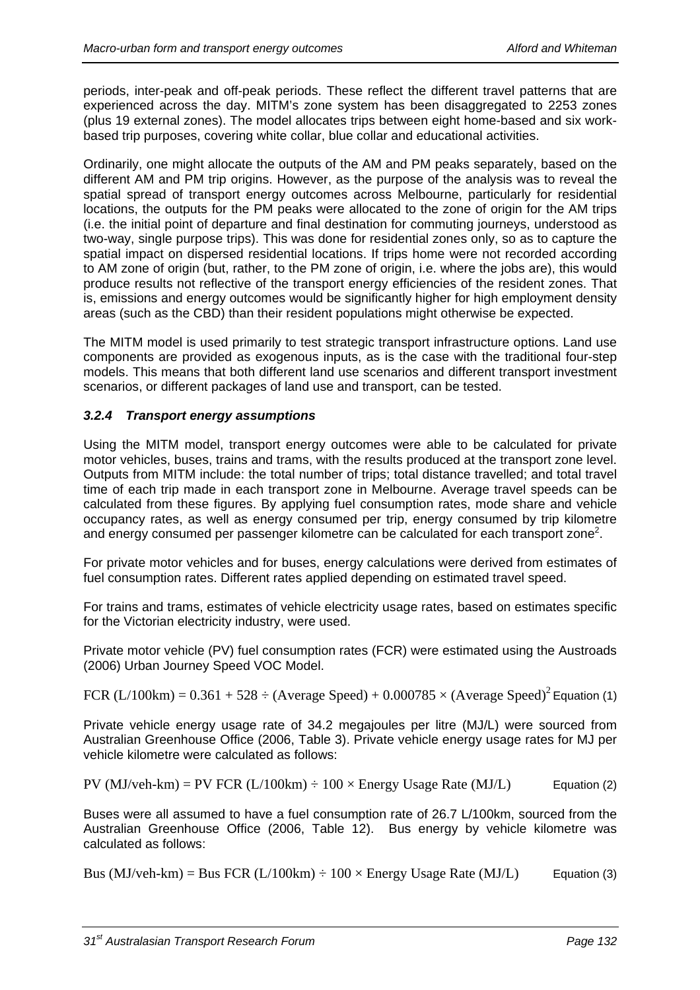periods, inter-peak and off-peak periods. These reflect the different travel patterns that are experienced across the day. MITM's zone system has been disaggregated to 2253 zones (plus 19 external zones). The model allocates trips between eight home-based and six workbased trip purposes, covering white collar, blue collar and educational activities.

Ordinarily, one might allocate the outputs of the AM and PM peaks separately, based on the different AM and PM trip origins. However, as the purpose of the analysis was to reveal the spatial spread of transport energy outcomes across Melbourne, particularly for residential locations, the outputs for the PM peaks were allocated to the zone of origin for the AM trips (i.e. the initial point of departure and final destination for commuting journeys, understood as two-way, single purpose trips). This was done for residential zones only, so as to capture the spatial impact on dispersed residential locations. If trips home were not recorded according to AM zone of origin (but, rather, to the PM zone of origin, i.e. where the jobs are), this would produce results not reflective of the transport energy efficiencies of the resident zones. That is, emissions and energy outcomes would be significantly higher for high employment density areas (such as the CBD) than their resident populations might otherwise be expected.

The MITM model is used primarily to test strategic transport infrastructure options. Land use components are provided as exogenous inputs, as is the case with the traditional four-step models. This means that both different land use scenarios and different transport investment scenarios, or different packages of land use and transport, can be tested.

## *3.2.4 Transport energy assumptions*

Using the MITM model, transport energy outcomes were able to be calculated for private motor vehicles, buses, trains and trams, with the results produced at the transport zone level. Outputs from MITM include: the total number of trips; total distance travelled; and total travel time of each trip made in each transport zone in Melbourne. Average travel speeds can be calculated from these figures. By applying fuel consumption rates, mode share and vehicle occupancy rates, as well as energy consumed per trip, energy consumed by trip kilometre and energy consumed per passenger kilometre can be calculated for each transport zone<sup>2</sup>.

For private motor vehicles and for buses, energy calculations were derived from estimates of fuel consumption rates. Different rates applied depending on estimated travel speed.

For trains and trams, estimates of vehicle electricity usage rates, based on estimates specific for the Victorian electricity industry, were used.

Private motor vehicle (PV) fuel consumption rates (FCR) were estimated using the Austroads (2006) Urban Journey Speed VOC Model.

FCR  $(L/100km) = 0.361 + 528 \div (Average Speed) + 0.000785 \times (Average Speed)^2$  Equation (1)

Private vehicle energy usage rate of 34.2 megajoules per litre (MJ/L) were sourced from Australian Greenhouse Office (2006, Table 3). Private vehicle energy usage rates for MJ per vehicle kilometre were calculated as follows:

PV (MJ/veh-km) = PV FCR (L/100km)  $\div$  100  $\times$  Energy Usage Rate (MJ/L) Equation (2)

Buses were all assumed to have a fuel consumption rate of 26.7 L/100km, sourced from the Australian Greenhouse Office (2006, Table 12). Bus energy by vehicle kilometre was calculated as follows:

Bus (MJ/veh-km) = Bus FCR (L/100km)  $\div$  100  $\times$  Energy Usage Rate (MJ/L) Equation (3)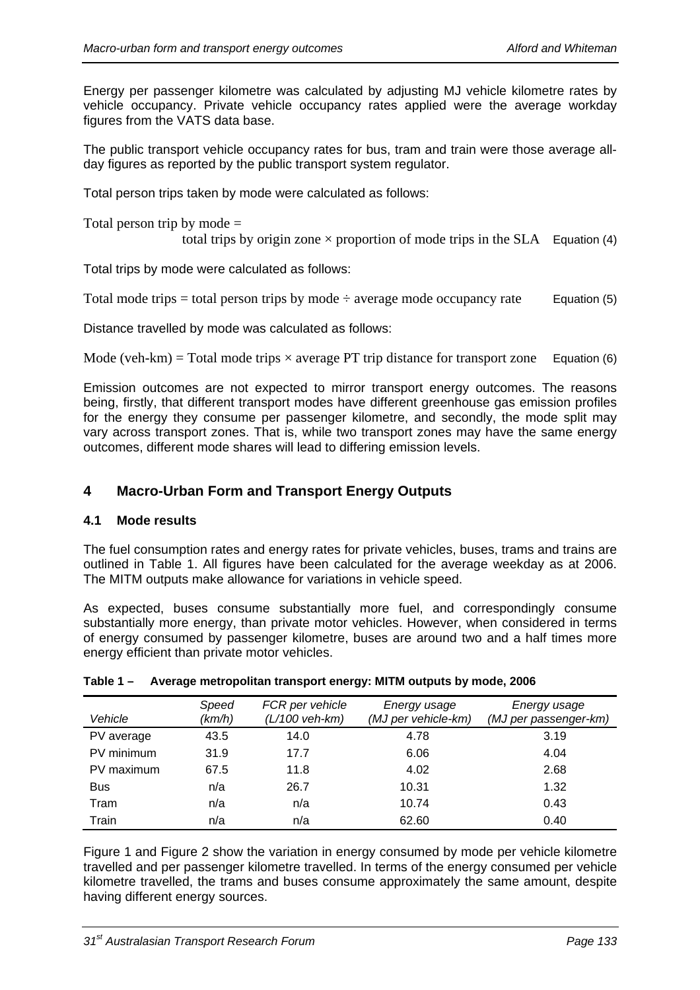Energy per passenger kilometre was calculated by adjusting MJ vehicle kilometre rates by vehicle occupancy. Private vehicle occupancy rates applied were the average workday figures from the VATS data base.

The public transport vehicle occupancy rates for bus, tram and train were those average allday figures as reported by the public transport system regulator.

Total person trips taken by mode were calculated as follows:

Total person trip by mode =

total trips by origin zone  $\times$  proportion of mode trips in the SLA Equation (4)

Total trips by mode were calculated as follows:

Total mode trips = total person trips by mode  $\div$  average mode occupancy rate Equation (5)

Distance travelled by mode was calculated as follows:

Mode (veh-km) = Total mode trips  $\times$  average PT trip distance for transport zone Equation (6)

Emission outcomes are not expected to mirror transport energy outcomes. The reasons being, firstly, that different transport modes have different greenhouse gas emission profiles for the energy they consume per passenger kilometre, and secondly, the mode split may vary across transport zones. That is, while two transport zones may have the same energy outcomes, different mode shares will lead to differing emission levels.

## **4 Macro-Urban Form and Transport Energy Outputs**

#### **4.1 Mode results**

The fuel consumption rates and energy rates for private vehicles, buses, trams and trains are outlined in [Table 1](#page-6-0). All figures have been calculated for the average weekday as at 2006. The MITM outputs make allowance for variations in vehicle speed.

As expected, buses consume substantially more fuel, and correspondingly consume substantially more energy, than private motor vehicles. However, when considered in terms of energy consumed by passenger kilometre, buses are around two and a half times more energy efficient than private motor vehicles.

<span id="page-6-0"></span>

| Vehicle    | Speed<br>(km/h) | FCR per vehicle<br>$(L/100$ veh-km) | Energy usage<br>(MJ per vehicle-km) | Energy usage<br>(MJ per passenger-km) |
|------------|-----------------|-------------------------------------|-------------------------------------|---------------------------------------|
| PV average | 43.5            | 14.0                                | 4.78                                | 3.19                                  |
| PV minimum | 31.9            | 17.7                                | 6.06                                | 4.04                                  |
| PV maximum | 67.5            | 11.8                                | 4.02                                | 2.68                                  |
| <b>Bus</b> | n/a             | 26.7                                | 10.31                               | 1.32                                  |
| Tram       | n/a             | n/a                                 | 10.74                               | 0.43                                  |
| Train      | n/a             | n/a                                 | 62.60                               | 0.40                                  |

#### **Table 1 – Average metropolitan transport energy: MITM outputs by mode, 2006**

[Figure 1](#page-7-0) and [Figure 2](#page-7-0) show the variation in energy consumed by mode per vehicle kilometre travelled and per passenger kilometre travelled. In terms of the energy consumed per vehicle kilometre travelled, the trams and buses consume approximately the same amount, despite having different energy sources.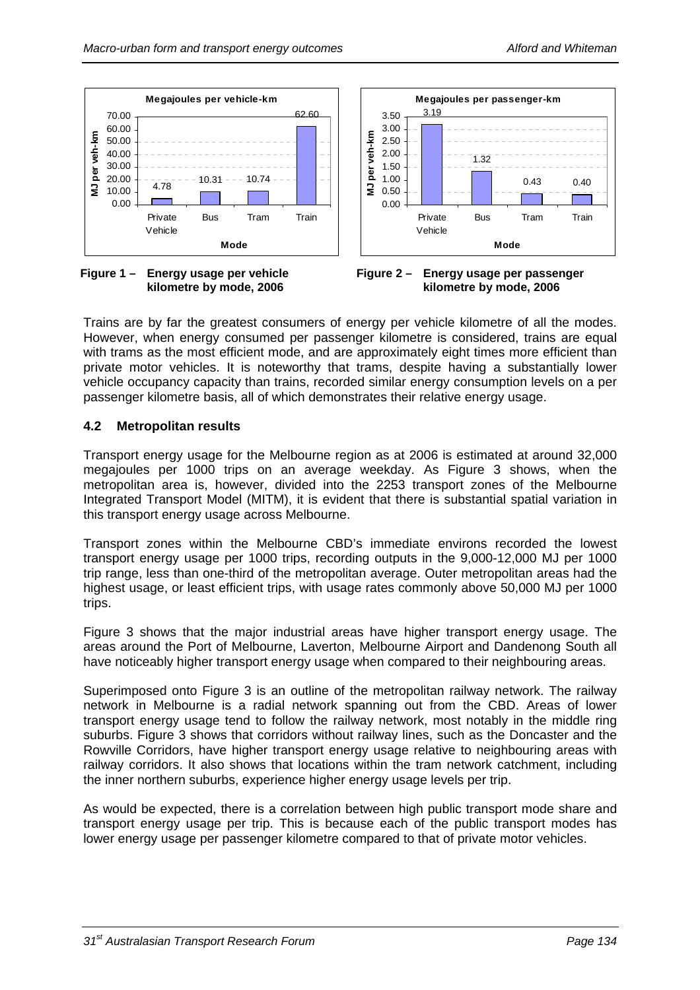



<span id="page-7-0"></span>**Figure 1 – Energy usage per vehicle kilometre by mode, 2006** 



Trains are by far the greatest consumers of energy per vehicle kilometre of all the modes. However, when energy consumed per passenger kilometre is considered, trains are equal with trams as the most efficient mode, and are approximately eight times more efficient than private motor vehicles. It is noteworthy that trams, despite having a substantially lower vehicle occupancy capacity than trains, recorded similar energy consumption levels on a per passenger kilometre basis, all of which demonstrates their relative energy usage.

#### **4.2 Metropolitan results**

Transport energy usage for the Melbourne region as at 2006 is estimated at around 32,000 megajoules per 1000 trips on an average weekday. As [Figure 3](#page-8-0) shows, when the metropolitan area is, however, divided into the 2253 transport zones of the Melbourne Integrated Transport Model (MITM), it is evident that there is substantial spatial variation in this transport energy usage across Melbourne.

Transport zones within the Melbourne CBD's immediate environs recorded the lowest transport energy usage per 1000 trips, recording outputs in the 9,000-12,000 MJ per 1000 trip range, less than one-third of the metropolitan average. Outer metropolitan areas had the highest usage, or least efficient trips, with usage rates commonly above 50,000 MJ per 1000 trips.

[Figure 3](#page-8-0) shows that the major industrial areas have higher transport energy usage. The areas around the Port of Melbourne, Laverton, Melbourne Airport and Dandenong South all have noticeably higher transport energy usage when compared to their neighbouring areas.

Superimposed onto [Figure 3](#page-8-0) is an outline of the metropolitan railway network. The railway network in Melbourne is a radial network spanning out from the CBD. Areas of lower transport energy usage tend to follow the railway network, most notably in the middle ring suburbs. [Figure 3](#page-8-0) shows that corridors without railway lines, such as the Doncaster and the Rowville Corridors, have higher transport energy usage relative to neighbouring areas with railway corridors. It also shows that locations within the tram network catchment, including the inner northern suburbs, experience higher energy usage levels per trip.

As would be expected, there is a correlation between high public transport mode share and transport energy usage per trip. This is because each of the public transport modes has lower energy usage per passenger kilometre compared to that of private motor vehicles.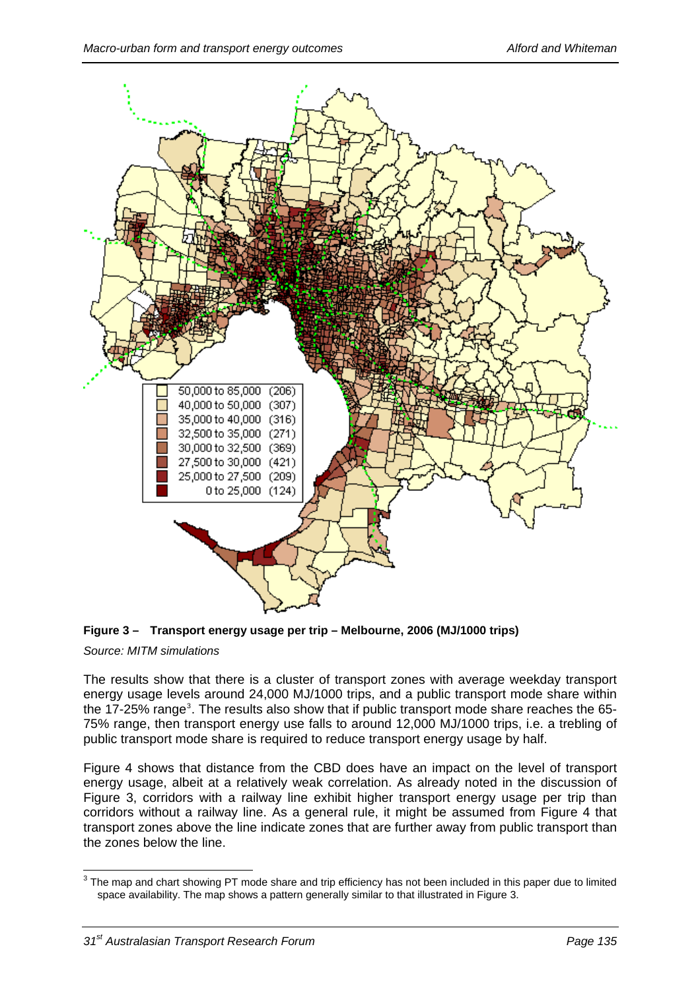

<span id="page-8-0"></span>

## *Source: MITM simulations*

The results show that there is a cluster of transport zones with average weekday transport energy usage levels around 24,000 MJ/1000 trips, and a public transport mode share within the 17-25% range<sup>[3](#page-8-1)</sup>. The results also show that if public transport mode share reaches the 65-75% range, then transport energy use falls to around 12,000 MJ/1000 trips, i.e. a trebling of public transport mode share is required to reduce transport energy usage by half.

[Figure 4](#page-9-0) shows that distance from the CBD does have an impact on the level of transport energy usage, albeit at a relatively weak correlation. As already noted in the discussion of [Figure 3](#page-8-0), corridors with a railway line exhibit higher transport energy usage per trip than corridors without a railway line. As a general rule, it might be assumed from [Figure 4](#page-9-0) that transport zones above the line indicate zones that are further away from public transport than the zones below the line.

<span id="page-8-1"></span>**EXECUTE:**<br><sup>3</sup> The map and chart showing PT mode share and trip efficiency has not been included in this paper due to limited space availability. The map shows a pattern generally similar to that illustrated in Figure 3.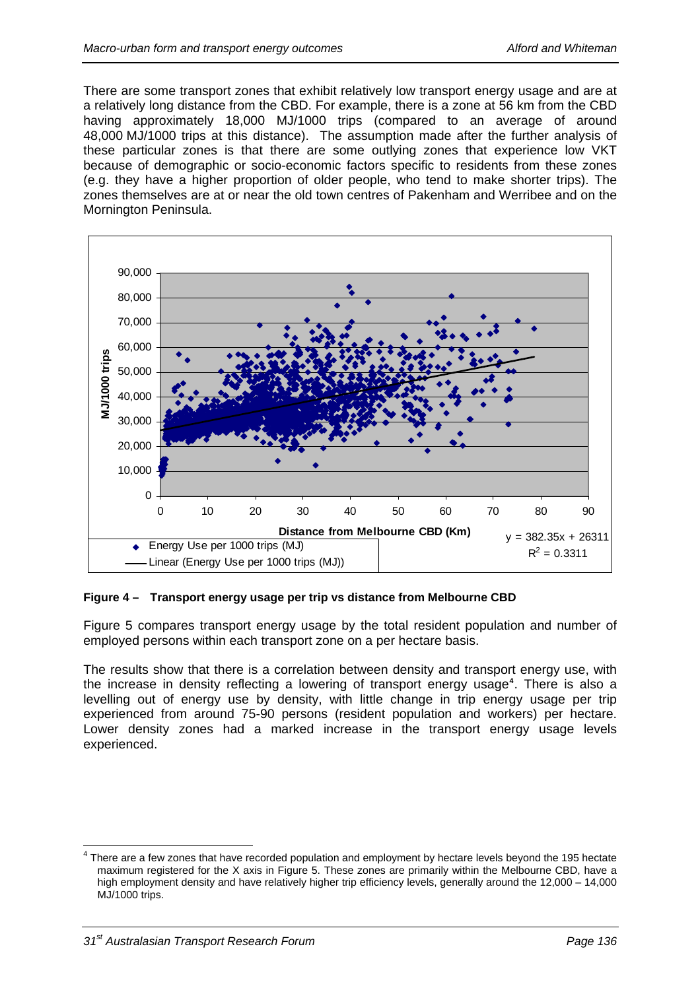There are some transport zones that exhibit relatively low transport energy usage and are at a relatively long distance from the CBD. For example, there is a zone at 56 km from the CBD having approximately 18,000 MJ/1000 trips (compared to an average of around 48,000 MJ/1000 trips at this distance). The assumption made after the further analysis of these particular zones is that there are some outlying zones that experience low VKT because of demographic or socio-economic factors specific to residents from these zones (e.g. they have a higher proportion of older people, who tend to make shorter trips). The zones themselves are at or near the old town centres of Pakenham and Werribee and on the Mornington Peninsula.



## <span id="page-9-0"></span>**Figure 4 – Transport energy usage per trip vs distance from Melbourne CBD**

[Figure 5](#page-10-0) compares transport energy usage by the total resident population and number of employed persons within each transport zone on a per hectare basis.

The results show that there is a correlation between density and transport energy use, with the increase in density reflecting a lowering of transport energy usage**[4](#page-9-1)** . There is also a levelling out of energy use by density, with little change in trip energy usage per trip experienced from around 75-90 persons (resident population and workers) per hectare. Lower density zones had a marked increase in the transport energy usage levels experienced.

<span id="page-9-1"></span>There are a few zones that have recorded population and employment by hectare levels beyond the 195 hectate<br>There are a few zones that have recorded population and employment by hectare levels beyond the 195 hectate maximum registered for the X axis in Figure 5. These zones are primarily within the Melbourne CBD, have a high employment density and have relatively higher trip efficiency levels, generally around the 12,000 – 14,000 MJ/1000 trips.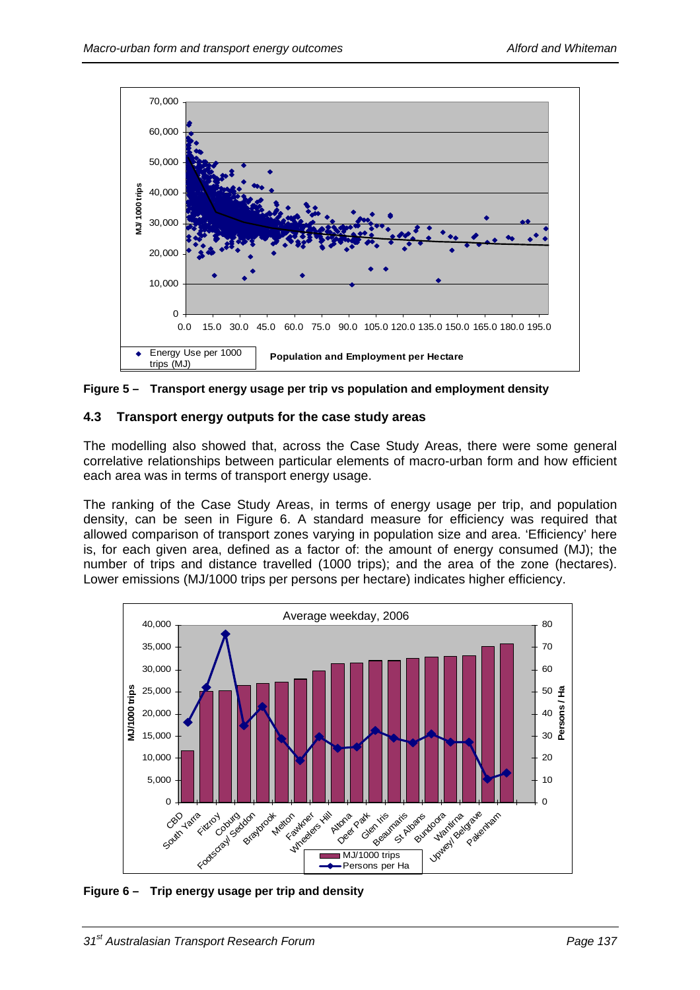

<span id="page-10-0"></span>**Figure 5 – Transport energy usage per trip vs population and employment density** 

# **4.3 Transport energy outputs for the case study areas**

The modelling also showed that, across the Case Study Areas, there were some general correlative relationships between particular elements of macro-urban form and how efficient each area was in terms of transport energy usage.

The ranking of the Case Study Areas, in terms of energy usage per trip, and population density, can be seen in [Figure 6](#page-10-1). A standard measure for efficiency was required that allowed comparison of transport zones varying in population size and area. 'Efficiency' here is, for each given area, defined as a factor of: the amount of energy consumed (MJ); the number of trips and distance travelled (1000 trips); and the area of the zone (hectares). Lower emissions (MJ/1000 trips per persons per hectare) indicates higher efficiency.



<span id="page-10-1"></span>**Figure 6 – Trip energy usage per trip and density**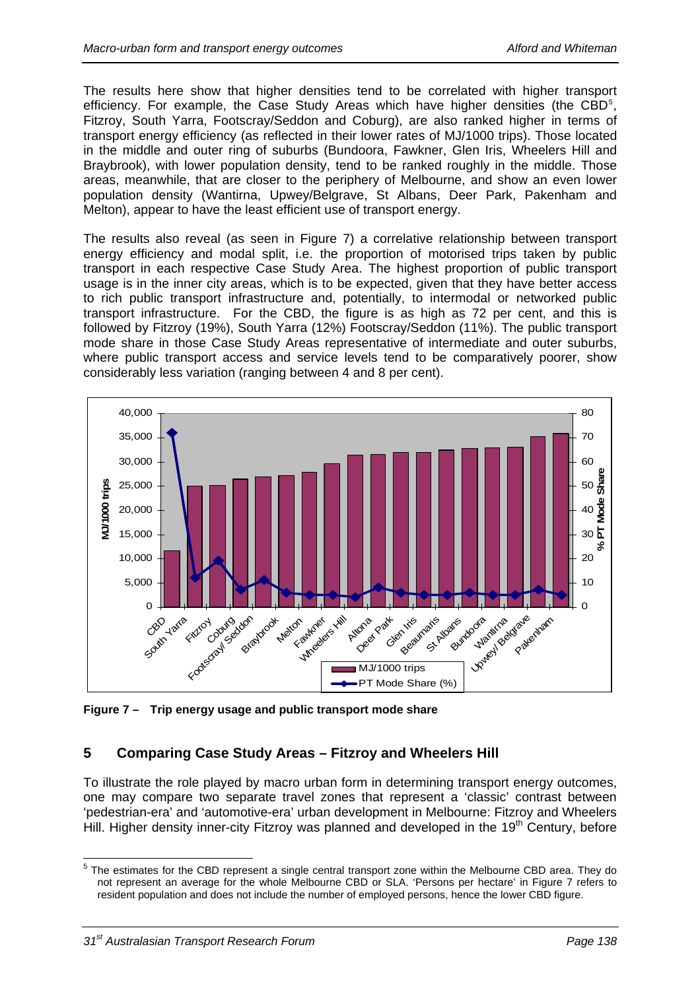The results here show that higher densities tend to be correlated with higher transport efficiency. For example, the Case Study Areas which have higher densities (the CBD<sup>[5](#page-11-0)</sup>, Fitzroy, South Yarra, Footscray/Seddon and Coburg), are also ranked higher in terms of transport energy efficiency (as reflected in their lower rates of MJ/1000 trips). Those located in the middle and outer ring of suburbs (Bundoora, Fawkner, Glen Iris, Wheelers Hill and Braybrook), with lower population density, tend to be ranked roughly in the middle. Those areas, meanwhile, that are closer to the periphery of Melbourne, and show an even lower population density (Wantirna, Upwey/Belgrave, St Albans, Deer Park, Pakenham and Melton), appear to have the least efficient use of transport energy.

The results also reveal (as seen in [Figure 7\)](#page-11-1) a correlative relationship between transport energy efficiency and modal split, i.e. the proportion of motorised trips taken by public transport in each respective Case Study Area. The highest proportion of public transport usage is in the inner city areas, which is to be expected, given that they have better access to rich public transport infrastructure and, potentially, to intermodal or networked public transport infrastructure. For the CBD, the figure is as high as 72 per cent, and this is followed by Fitzroy (19%), South Yarra (12%) Footscray/Seddon (11%). The public transport mode share in those Case Study Areas representative of intermediate and outer suburbs, where public transport access and service levels tend to be comparatively poorer, show considerably less variation (ranging between 4 and 8 per cent).



<span id="page-11-1"></span>**Figure 7 – Trip energy usage and public transport mode share** 

## **5 Comparing Case Study Areas – Fitzroy and Wheelers Hill**

To illustrate the role played by macro urban form in determining transport energy outcomes, one may compare two separate travel zones that represent a 'classic' contrast between 'pedestrian-era' and 'automotive-era' urban development in Melbourne: Fitzroy and Wheelers Hill. Higher density inner-city Fitzroy was planned and developed in the 19<sup>th</sup> Century, before

<span id="page-11-0"></span>The estimates for the CBD represent a single central transport zone within the Melbourne CBD area. They do They do not represent an average for the whole Melbourne CBD or SLA. 'Persons per hectare' in Figure 7 refers to resident population and does not include the number of employed persons, hence the lower CBD figure.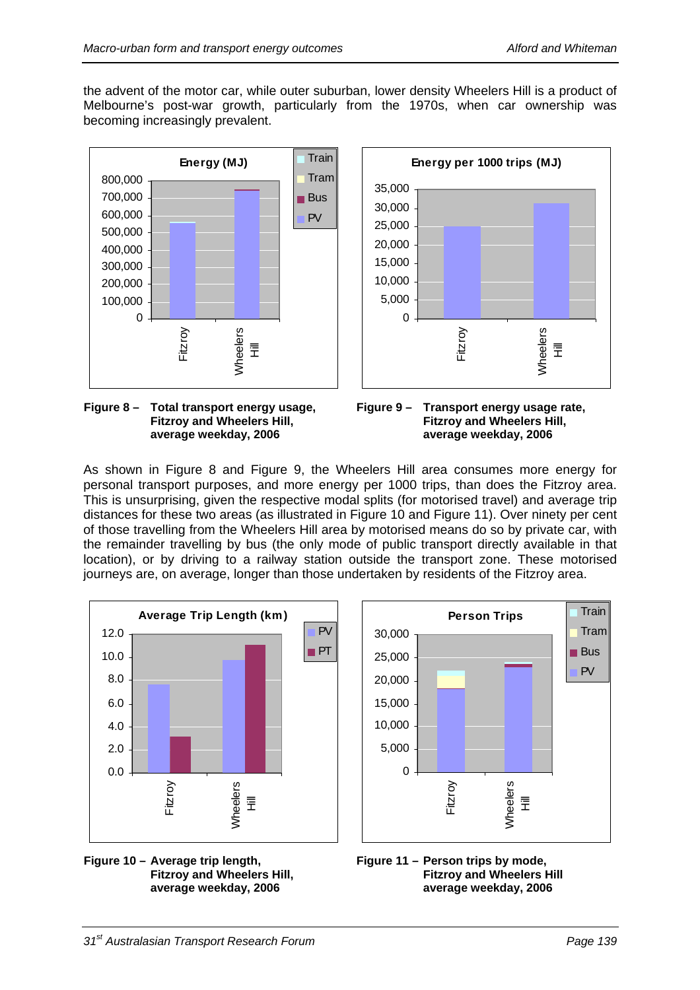the advent of the motor car, while outer suburban, lower density Wheelers Hill is a product of Melbourne's post-war growth, particularly from the 1970s, when car ownership was becoming increasingly prevalent.





<span id="page-12-0"></span>**Figure 8 – Total transport energy usage, Fitzroy and Wheelers Hill, average weekday, 2006** 



As shown in [Figure 8](#page-12-0) and [Figure 9](#page-12-0), the Wheelers Hill area consumes more energy for personal transport purposes, and more energy per 1000 trips, than does the Fitzroy area. This is unsurprising, given the respective modal splits (for motorised travel) and average trip distances for these two areas (as illustrated in [Figure 10](#page-12-1) and [Figure 11](#page-12-1)). Over ninety per cent of those travelling from the Wheelers Hill area by motorised means do so by private car, with the remainder travelling by bus (the only mode of public transport directly available in that location), or by driving to a railway station outside the transport zone. These motorised journeys are, on average, longer than those undertaken by residents of the Fitzroy area.



<span id="page-12-1"></span>



**Figure 11 – Person trips by mode, Fitzroy and Wheelers Hill average weekday, 2006**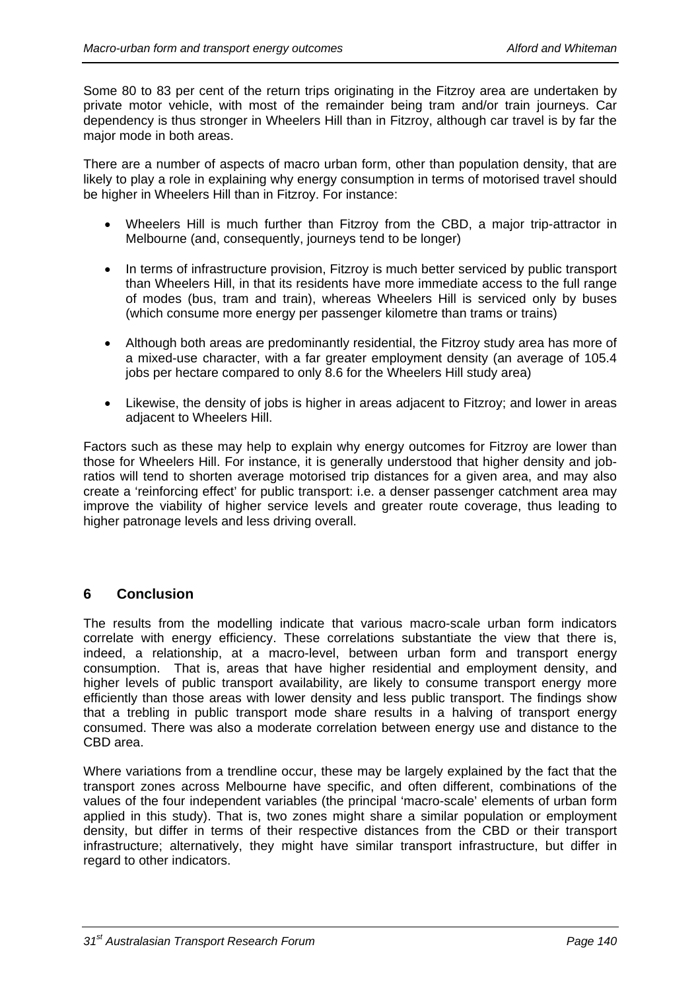Some 80 to 83 per cent of the return trips originating in the Fitzroy area are undertaken by private motor vehicle, with most of the remainder being tram and/or train journeys. Car dependency is thus stronger in Wheelers Hill than in Fitzroy, although car travel is by far the major mode in both areas.

There are a number of aspects of macro urban form, other than population density, that are likely to play a role in explaining why energy consumption in terms of motorised travel should be higher in Wheelers Hill than in Fitzroy. For instance:

- Wheelers Hill is much further than Fitzroy from the CBD, a major trip-attractor in Melbourne (and, consequently, journeys tend to be longer)
- In terms of infrastructure provision, Fitzroy is much better serviced by public transport than Wheelers Hill, in that its residents have more immediate access to the full range of modes (bus, tram and train), whereas Wheelers Hill is serviced only by buses (which consume more energy per passenger kilometre than trams or trains)
- Although both areas are predominantly residential, the Fitzroy study area has more of a mixed-use character, with a far greater employment density (an average of 105.4 jobs per hectare compared to only 8.6 for the Wheelers Hill study area)
- Likewise, the density of jobs is higher in areas adjacent to Fitzroy; and lower in areas adjacent to Wheelers Hill.

Factors such as these may help to explain why energy outcomes for Fitzroy are lower than those for Wheelers Hill. For instance, it is generally understood that higher density and jobratios will tend to shorten average motorised trip distances for a given area, and may also create a 'reinforcing effect' for public transport: i.e. a denser passenger catchment area may improve the viability of higher service levels and greater route coverage, thus leading to higher patronage levels and less driving overall.

## **6 Conclusion**

The results from the modelling indicate that various macro-scale urban form indicators correlate with energy efficiency. These correlations substantiate the view that there is, indeed, a relationship, at a macro-level, between urban form and transport energy consumption. That is, areas that have higher residential and employment density, and higher levels of public transport availability, are likely to consume transport energy more efficiently than those areas with lower density and less public transport. The findings show that a trebling in public transport mode share results in a halving of transport energy consumed. There was also a moderate correlation between energy use and distance to the CBD area.

Where variations from a trendline occur, these may be largely explained by the fact that the transport zones across Melbourne have specific, and often different, combinations of the values of the four independent variables (the principal 'macro-scale' elements of urban form applied in this study). That is, two zones might share a similar population or employment density, but differ in terms of their respective distances from the CBD or their transport infrastructure; alternatively, they might have similar transport infrastructure, but differ in regard to other indicators.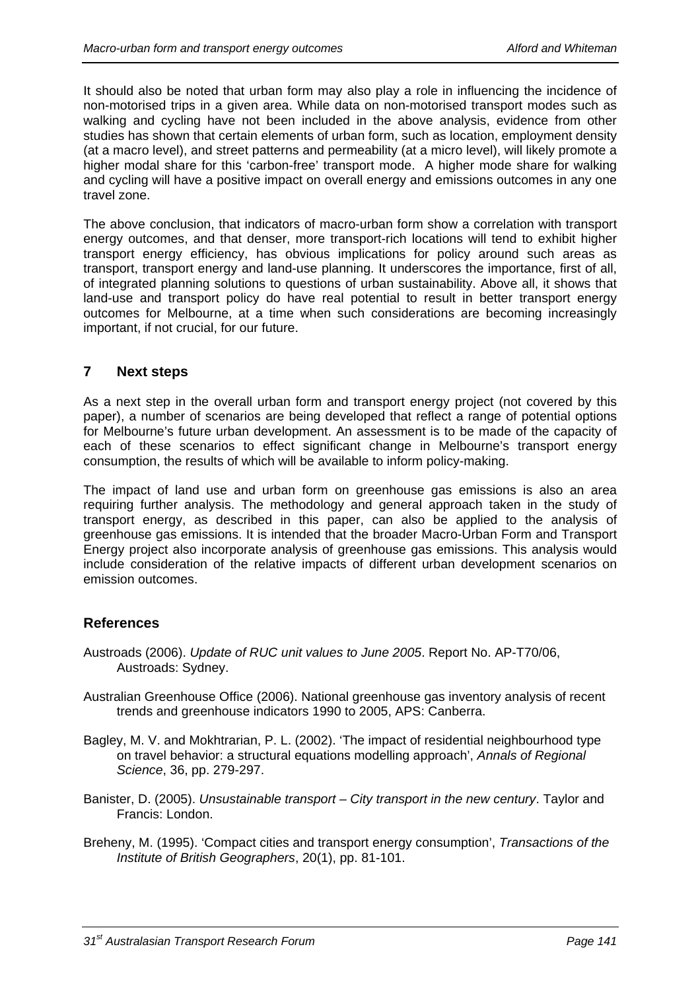It should also be noted that urban form may also play a role in influencing the incidence of non-motorised trips in a given area. While data on non-motorised transport modes such as walking and cycling have not been included in the above analysis, evidence from other studies has shown that certain elements of urban form, such as location, employment density (at a macro level), and street patterns and permeability (at a micro level), will likely promote a higher modal share for this 'carbon-free' transport mode. A higher mode share for walking and cycling will have a positive impact on overall energy and emissions outcomes in any one travel zone.

The above conclusion, that indicators of macro-urban form show a correlation with transport energy outcomes, and that denser, more transport-rich locations will tend to exhibit higher transport energy efficiency, has obvious implications for policy around such areas as transport, transport energy and land-use planning. It underscores the importance, first of all, of integrated planning solutions to questions of urban sustainability. Above all, it shows that land-use and transport policy do have real potential to result in better transport energy outcomes for Melbourne, at a time when such considerations are becoming increasingly important, if not crucial, for our future.

## **7 Next steps**

As a next step in the overall urban form and transport energy project (not covered by this paper), a number of scenarios are being developed that reflect a range of potential options for Melbourne's future urban development. An assessment is to be made of the capacity of each of these scenarios to effect significant change in Melbourne's transport energy consumption, the results of which will be available to inform policy-making.

The impact of land use and urban form on greenhouse gas emissions is also an area requiring further analysis. The methodology and general approach taken in the study of transport energy, as described in this paper, can also be applied to the analysis of greenhouse gas emissions. It is intended that the broader Macro-Urban Form and Transport Energy project also incorporate analysis of greenhouse gas emissions. This analysis would include consideration of the relative impacts of different urban development scenarios on emission outcomes.

## **References**

- Austroads (2006). *Update of RUC unit values to June 2005*. Report No. AP-T70/06, Austroads: Sydney.
- Australian Greenhouse Office (2006). National greenhouse gas inventory analysis of recent trends and greenhouse indicators 1990 to 2005, APS: Canberra.
- Bagley, M. V. and Mokhtrarian, P. L. (2002). 'The impact of residential neighbourhood type on travel behavior: a structural equations modelling approach', *Annals of Regional Science*, 36, pp. 279-297.
- Banister, D. (2005). *Unsustainable transport City transport in the new century*. Taylor and Francis: London.
- Breheny, M. (1995). 'Compact cities and transport energy consumption', *Transactions of the Institute of British Geographers*, 20(1), pp. 81-101.